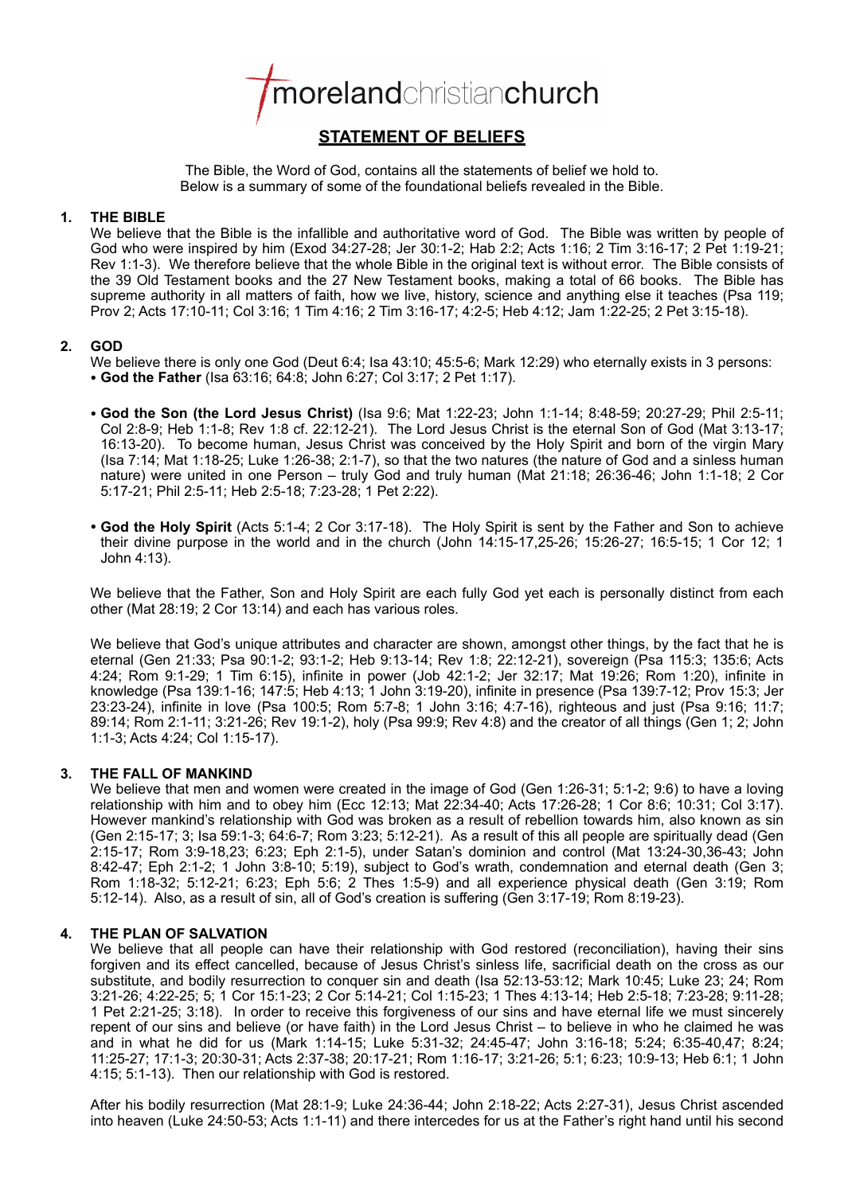

# **STATEMENT OF BELIEFS**

The Bible, the Word of God, contains all the statements of belief we hold to. Below is a summary of some of the foundational beliefs revealed in the Bible.

# **1. THE BIBLE**

We believe that the Bible is the infallible and authoritative word of God. The Bible was written by people of God who were inspired by him (Exod 34:27-28; Jer 30:1-2; Hab 2:2; Acts 1:16; 2 Tim 3:16-17; 2 Pet 1:19-21; Rev 1:1-3). We therefore believe that the whole Bible in the original text is without error. The Bible consists of the 39 Old Testament books and the 27 New Testament books, making a total of 66 books. The Bible has supreme authority in all matters of faith, how we live, history, science and anything else it teaches (Psa 119; Prov 2; Acts 17:10-11; Col 3:16; 1 Tim 4:16; 2 Tim 3:16-17; 4:2-5; Heb 4:12; Jam 1:22-25; 2 Pet 3:15-18).

# **2. GOD**

We believe there is only one God (Deut 6:4; Isa 43:10; 45:5-6; Mark 12:29) who eternally exists in 3 persons: • **God the Father** (Isa 63:16; 64:8; John 6:27; Col 3:17; 2 Pet 1:17).

• **God the Son (the Lord Jesus Christ)** (Isa 9:6; Mat 1:22-23; John 1:1-14; 8:48-59; 20:27-29; Phil 2:5-11; Col 2:8-9; Heb 1:1-8; Rev 1:8 cf. 22:12-21). The Lord Jesus Christ is the eternal Son of God (Mat 3:13-17; 16:13-20). To become human, Jesus Christ was conceived by the Holy Spirit and born of the virgin Mary (Isa 7:14; Mat 1:18-25; Luke 1:26-38; 2:1-7), so that the two natures (the nature of God and a sinless human nature) were united in one Person – truly God and truly human (Mat 21:18; 26:36-46; John 1:1-18; 2 Cor

5:17-21; Phil 2:5-11; Heb 2:5-18; 7:23-28; 1 Pet 2:22).

• **God the Holy Spirit** (Acts 5:1-4; 2 Cor 3:17-18). The Holy Spirit is sent by the Father and Son to achieve their divine purpose in the world and in the church (John 14:15-17,25-26; 15:26-27; 16:5-15; 1 Cor 12; 1 John 4:13).

We believe that the Father, Son and Holy Spirit are each fully God yet each is personally distinct from each other (Mat 28:19; 2 Cor 13:14) and each has various roles.

We believe that God's unique attributes and character are shown, amongst other things, by the fact that he is eternal (Gen 21:33; Psa 90:1-2; 93:1-2; Heb 9:13-14; Rev 1:8; 22:12-21), sovereign (Psa 115:3; 135:6; Acts 4:24; Rom 9:1-29; 1 Tim 6:15), infinite in power (Job 42:1-2; Jer 32:17; Mat 19:26; Rom 1:20), infinite in knowledge (Psa 139:1-16; 147:5; Heb 4:13; 1 John 3:19-20), infinite in presence (Psa 139:7-12; Prov 15:3; Jer 23:23-24), infinite in love (Psa 100:5; Rom 5:7-8; 1 John 3:16; 4:7-16), righteous and just (Psa 9:16; 11:7; 89:14; Rom 2:1-11; 3:21-26; Rev 19:1-2), holy (Psa 99:9; Rev 4:8) and the creator of all things (Gen 1; 2; John 1:1-3; Acts 4:24; Col 1:15-17).

# **3. THE FALL OF MANKIND**

We believe that men and women were created in the image of God (Gen 1:26-31; 5:1-2; 9:6) to have a loving relationship with him and to obey him (Ecc 12:13; Mat 22:34-40; Acts 17:26-28; 1 Cor 8:6; 10:31; Col 3:17). However mankind's relationship with God was broken as a result of rebellion towards him, also known as sin (Gen 2:15-17; 3; Isa 59:1-3; 64:6-7; Rom 3:23; 5:12-21). As a result of this all people are spiritually dead (Gen 2:15-17; Rom 3:9-18,23; 6:23; Eph 2:1-5), under Satan's dominion and control (Mat 13:24-30,36-43; John 8:42-47; Eph 2:1-2; 1 John 3:8-10; 5:19), subject to God's wrath, condemnation and eternal death (Gen 3; Rom 1:18-32; 5:12-21; 6:23; Eph 5:6; 2 Thes 1:5-9) and all experience physical death (Gen 3:19; Rom 5:12-14). Also, as a result of sin, all of God's creation is suffering (Gen 3:17-19; Rom 8:19-23).

# **4. THE PLAN OF SALVATION**

We believe that all people can have their relationship with God restored (reconciliation), having their sins forgiven and its effect cancelled, because of Jesus Christ's sinless life, sacrificial death on the cross as our substitute, and bodily resurrection to conquer sin and death (Isa 52:13-53:12; Mark 10:45; Luke 23; 24; Rom 3:21-26; 4:22-25; 5; 1 Cor 15:1-23; 2 Cor 5:14-21; Col 1:15-23; 1 Thes 4:13-14; Heb 2:5-18; 7:23-28; 9:11-28; 1 Pet 2:21-25; 3:18). In order to receive this forgiveness of our sins and have eternal life we must sincerely repent of our sins and believe (or have faith) in the Lord Jesus Christ – to believe in who he claimed he was and in what he did for us (Mark 1:14-15; Luke 5:31-32; 24:45-47; John 3:16-18; 5:24; 6:35-40,47; 8:24; 11:25-27; 17:1-3; 20:30-31; Acts 2:37-38; 20:17-21; Rom 1:16-17; 3:21-26; 5:1; 6:23; 10:9-13; Heb 6:1; 1 John 4:15; 5:1-13). Then our relationship with God is restored.

After his bodily resurrection (Mat 28:1-9; Luke 24:36-44; John 2:18-22; Acts 2:27-31), Jesus Christ ascended into heaven (Luke 24:50-53; Acts 1:1-11) and there intercedes for us at the Father's right hand until his second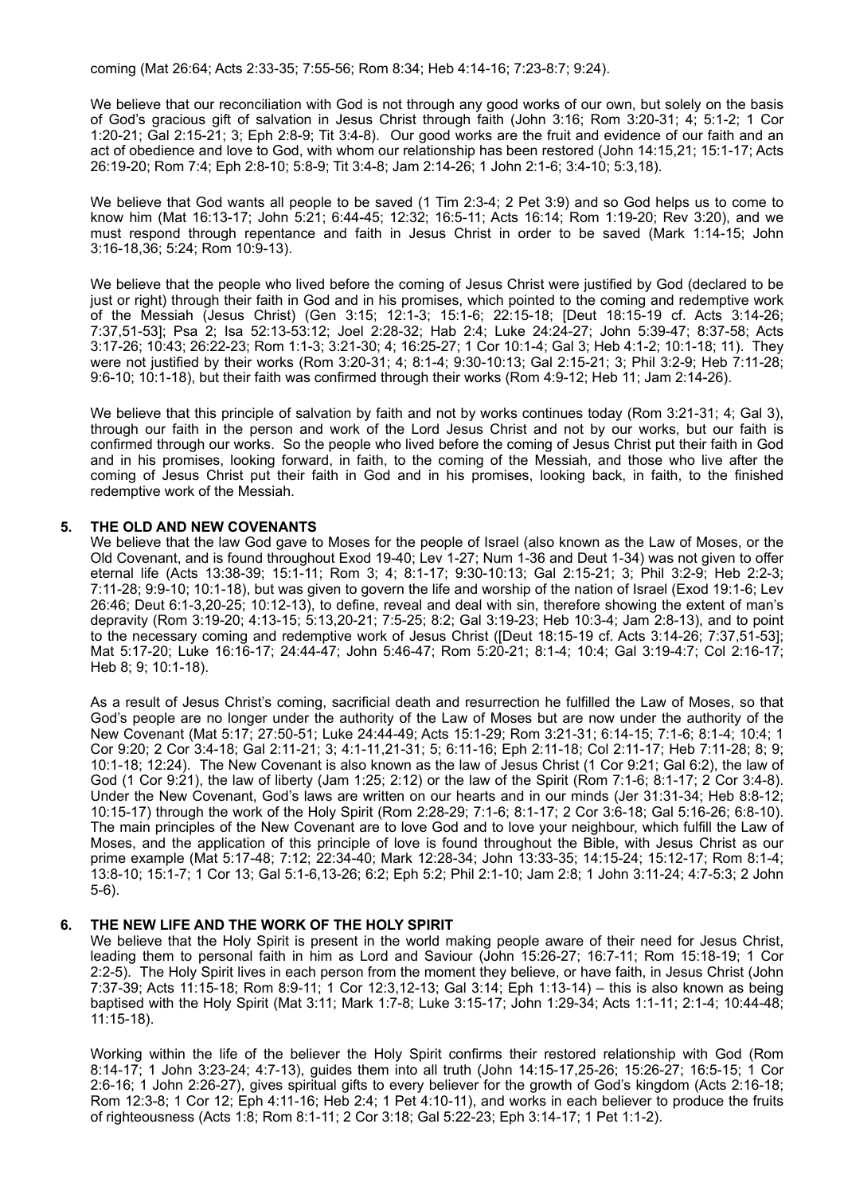coming (Mat 26:64; Acts 2:33-35; 7:55-56; Rom 8:34; Heb 4:14-16; 7:23-8:7; 9:24).

We believe that our reconciliation with God is not through any good works of our own, but solely on the basis of God's gracious gift of salvation in Jesus Christ through faith (John 3:16; Rom 3:20-31; 4; 5:1-2; 1 Cor 1:20-21; Gal 2:15-21; 3; Eph 2:8-9; Tit 3:4-8). Our good works are the fruit and evidence of our faith and an act of obedience and love to God, with whom our relationship has been restored (John 14:15,21; 15:1-17; Acts 26:19-20; Rom 7:4; Eph 2:8-10; 5:8-9; Tit 3:4-8; Jam 2:14-26; 1 John 2:1-6; 3:4-10; 5:3,18).

We believe that God wants all people to be saved (1 Tim 2:3-4; 2 Pet 3:9) and so God helps us to come to know him (Mat 16:13-17; John 5:21; 6:44-45; 12:32; 16:5-11; Acts 16:14; Rom 1:19-20; Rev 3:20), and we must respond through repentance and faith in Jesus Christ in order to be saved (Mark 1:14-15; John 3:16-18,36; 5:24; Rom 10:9-13).

We believe that the people who lived before the coming of Jesus Christ were justified by God (declared to be just or right) through their faith in God and in his promises, which pointed to the coming and redemptive work of the Messiah (Jesus Christ) (Gen 3:15; 12:1-3; 15:1-6; 22:15-18; [Deut 18:15-19 cf. Acts 3:14-26; 7:37,51-53]; Psa 2; Isa 52:13-53:12; Joel 2:28-32; Hab 2:4; Luke 24:24-27; John 5:39-47; 8:37-58; Acts 3:17-26; 10:43; 26:22-23; Rom 1:1-3; 3:21-30; 4; 16:25-27; 1 Cor 10:1-4; Gal 3; Heb 4:1-2; 10:1-18; 11). They were not justified by their works (Rom 3:20-31; 4; 8:1-4; 9:30-10:13; Gal 2:15-21; 3; Phil 3:2-9; Heb 7:11-28; 9:6-10; 10:1-18), but their faith was confirmed through their works (Rom 4:9-12; Heb 11; Jam 2:14-26).

We believe that this principle of salvation by faith and not by works continues today (Rom 3:21-31; 4; Gal 3), through our faith in the person and work of the Lord Jesus Christ and not by our works, but our faith is confirmed through our works. So the people who lived before the coming of Jesus Christ put their faith in God and in his promises, looking forward, in faith, to the coming of the Messiah, and those who live after the coming of Jesus Christ put their faith in God and in his promises, looking back, in faith, to the finished redemptive work of the Messiah.

#### **5. THE OLD AND NEW COVENANTS**

We believe that the law God gave to Moses for the people of Israel (also known as the Law of Moses, or the Old Covenant, and is found throughout Exod 19-40; Lev 1-27; Num 1-36 and Deut 1-34) was not given to offer eternal life (Acts 13:38-39; 15:1-11; Rom 3; 4; 8:1-17; 9:30-10:13; Gal 2:15-21; 3; Phil 3:2-9; Heb 2:2-3; 7:11-28; 9:9-10; 10:1-18), but was given to govern the life and worship of the nation of Israel (Exod 19:1-6; Lev 26:46; Deut 6:1-3,20-25; 10:12-13), to define, reveal and deal with sin, therefore showing the extent of man's depravity (Rom 3:19-20; 4:13-15; 5:13,20-21; 7:5-25; 8:2; Gal 3:19-23; Heb 10:3-4; Jam 2:8-13), and to point to the necessary coming and redemptive work of Jesus Christ ([Deut 18:15-19 cf. Acts 3:14-26; 7:37,51-53]; Mat 5:17-20; Luke 16:16-17; 24:44-47; John 5:46-47; Rom 5:20-21; 8:1-4; 10:4; Gal 3:19-4:7; Col 2:16-17; Heb 8; 9; 10:1-18).

As a result of Jesus Christ's coming, sacrificial death and resurrection he fulfilled the Law of Moses, so that God's people are no longer under the authority of the Law of Moses but are now under the authority of the New Covenant (Mat 5:17; 27:50-51; Luke 24:44-49; Acts 15:1-29; Rom 3:21-31; 6:14-15; 7:1-6; 8:1-4; 10:4; 1 Cor 9:20; 2 Cor 3:4-18; Gal 2:11-21; 3; 4:1-11,21-31; 5; 6:11-16; Eph 2:11-18; Col 2:11-17; Heb 7:11-28; 8; 9; 10:1-18; 12:24). The New Covenant is also known as the law of Jesus Christ (1 Cor 9:21; Gal 6:2), the law of God (1 Cor 9:21), the law of liberty (Jam 1:25; 2:12) or the law of the Spirit (Rom 7:1-6; 8:1-17; 2 Cor 3:4-8). Under the New Covenant, God's laws are written on our hearts and in our minds (Jer 31:31-34; Heb 8:8-12; 10:15-17) through the work of the Holy Spirit (Rom 2:28-29; 7:1-6; 8:1-17; 2 Cor 3:6-18; Gal 5:16-26; 6:8-10). The main principles of the New Covenant are to love God and to love your neighbour, which fulfill the Law of Moses, and the application of this principle of love is found throughout the Bible, with Jesus Christ as our prime example (Mat 5:17-48; 7:12; 22:34-40; Mark 12:28-34; John 13:33-35; 14:15-24; 15:12-17; Rom 8:1-4; 13:8-10; 15:1-7; 1 Cor 13; Gal 5:1-6,13-26; 6:2; Eph 5:2; Phil 2:1-10; Jam 2:8; 1 John 3:11-24; 4:7-5:3; 2 John 5-6).

#### **6. THE NEW LIFE AND THE WORK OF THE HOLY SPIRIT**

We believe that the Holy Spirit is present in the world making people aware of their need for Jesus Christ, leading them to personal faith in him as Lord and Saviour (John 15:26-27; 16:7-11; Rom 15:18-19; 1 Cor 2:2-5). The Holy Spirit lives in each person from the moment they believe, or have faith, in Jesus Christ (John 7:37-39; Acts 11:15-18; Rom 8:9-11; 1 Cor 12:3,12-13; Gal 3:14; Eph 1:13-14) – this is also known as being baptised with the Holy Spirit (Mat 3:11; Mark 1:7-8; Luke 3:15-17; John 1:29-34; Acts 1:1-11; 2:1-4; 10:44-48; 11:15-18).

Working within the life of the believer the Holy Spirit confirms their restored relationship with God (Rom 8:14-17; 1 John 3:23-24; 4:7-13), guides them into all truth (John 14:15-17,25-26; 15:26-27; 16:5-15; 1 Cor 2:6-16; 1 John 2:26-27), gives spiritual gifts to every believer for the growth of God's kingdom (Acts 2:16-18; Rom 12:3-8; 1 Cor 12; Eph 4:11-16; Heb 2:4; 1 Pet 4:10-11), and works in each believer to produce the fruits of righteousness (Acts 1:8; Rom 8:1-11; 2 Cor 3:18; Gal 5:22-23; Eph 3:14-17; 1 Pet 1:1-2).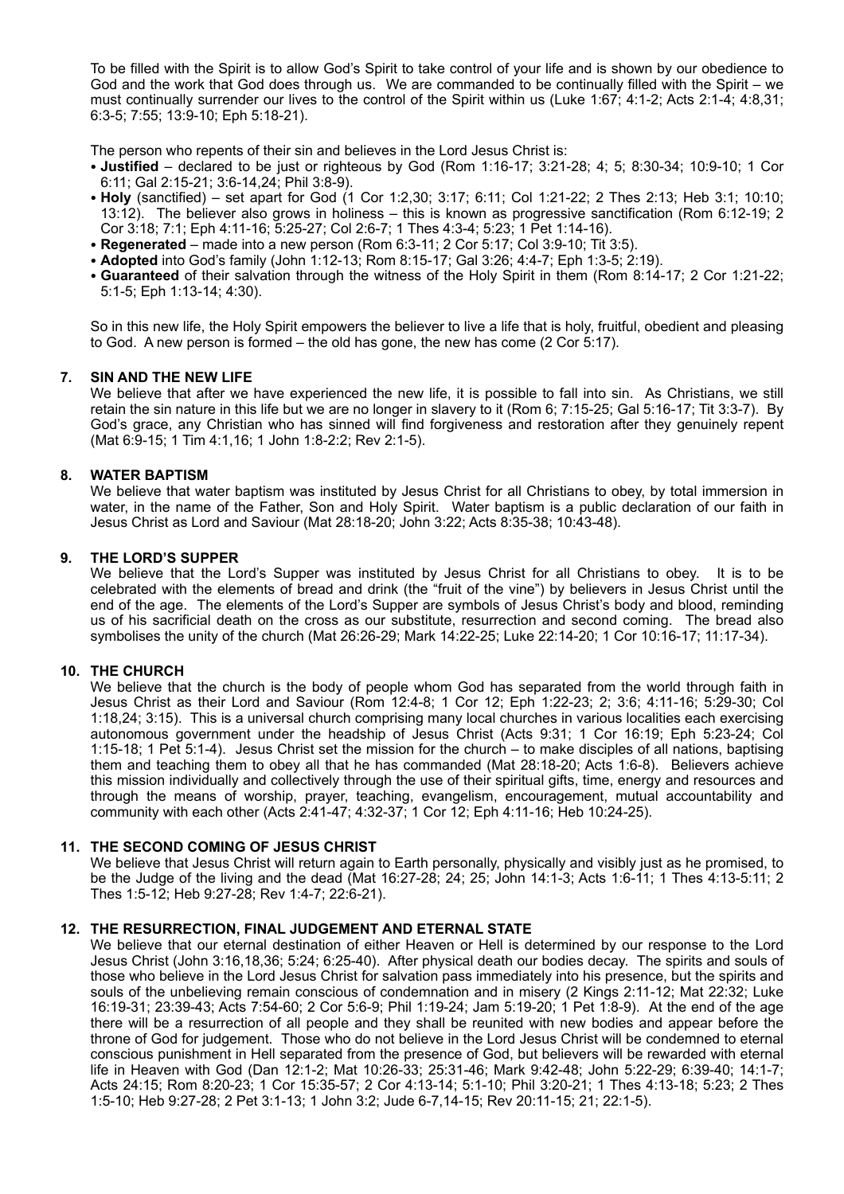To be filled with the Spirit is to allow God's Spirit to take control of your life and is shown by our obedience to God and the work that God does through us. We are commanded to be continually filled with the Spirit – we must continually surrender our lives to the control of the Spirit within us (Luke 1:67; 4:1-2; Acts 2:1-4; 4:8,31; 6:3-5; 7:55; 13:9-10; Eph 5:18-21).

The person who repents of their sin and believes in the Lord Jesus Christ is:

- **Justified** declared to be just or righteous by God (Rom 1:16-17; 3:21-28; 4; 5; 8:30-34; 10:9-10; 1 Cor 6:11; Gal 2:15-21; 3:6-14,24; Phil 3:8-9).
- **Holy** (sanctified) set apart for God (1 Cor 1:2,30; 3:17; 6:11; Col 1:21-22; 2 Thes 2:13; Heb 3:1; 10:10; 13:12). The believer also grows in holiness – this is known as progressive sanctification (Rom 6:12-19; 2 Cor 3:18; 7:1; Eph 4:11-16; 5:25-27; Col 2:6-7; 1 Thes 4:3-4; 5:23; 1 Pet 1:14-16).
- **Regenerated** made into a new person (Rom 6:3-11; 2 Cor 5:17; Col 3:9-10; Tit 3:5).
- **Adopted** into God's family (John 1:12-13; Rom 8:15-17; Gal 3:26; 4:4-7; Eph 1:3-5; 2:19).
- **Guaranteed** of their salvation through the witness of the Holy Spirit in them (Rom 8:14-17; 2 Cor 1:21-22; 5:1-5; Eph 1:13-14; 4:30).

So in this new life, the Holy Spirit empowers the believer to live a life that is holy, fruitful, obedient and pleasing to God. A new person is formed – the old has gone, the new has come (2 Cor 5:17).

# **7. SIN AND THE NEW LIFE**

We believe that after we have experienced the new life, it is possible to fall into sin. As Christians, we still retain the sin nature in this life but we are no longer in slavery to it (Rom 6; 7:15-25; Gal 5:16-17; Tit 3:3-7). By God's grace, any Christian who has sinned will find forgiveness and restoration after they genuinely repent (Mat 6:9-15; 1 Tim 4:1,16; 1 John 1:8-2:2; Rev 2:1-5).

# **8. WATER BAPTISM**

We believe that water baptism was instituted by Jesus Christ for all Christians to obey, by total immersion in water, in the name of the Father, Son and Holy Spirit. Water baptism is a public declaration of our faith in Jesus Christ as Lord and Saviour (Mat 28:18-20; John 3:22; Acts 8:35-38; 10:43-48).

#### **9. THE LORD'S SUPPER**

We believe that the Lord's Supper was instituted by Jesus Christ for all Christians to obey. It is to be celebrated with the elements of bread and drink (the "fruit of the vine") by believers in Jesus Christ until the end of the age. The elements of the Lord's Supper are symbols of Jesus Christ's body and blood, reminding us of his sacrificial death on the cross as our substitute, resurrection and second coming. The bread also symbolises the unity of the church (Mat 26:26-29; Mark 14:22-25; Luke 22:14-20; 1 Cor 10:16-17; 11:17-34).

#### **10. THE CHURCH**

We believe that the church is the body of people whom God has separated from the world through faith in Jesus Christ as their Lord and Saviour (Rom 12:4-8; 1 Cor 12; Eph 1:22-23; 2; 3:6; 4:11-16; 5:29-30; Col 1:18,24; 3:15). This is a universal church comprising many local churches in various localities each exercising autonomous government under the headship of Jesus Christ (Acts 9:31; 1 Cor 16:19; Eph 5:23-24; Col 1:15-18; 1 Pet 5:1-4). Jesus Christ set the mission for the church – to make disciples of all nations, baptising them and teaching them to obey all that he has commanded (Mat 28:18-20; Acts 1:6-8). Believers achieve this mission individually and collectively through the use of their spiritual gifts, time, energy and resources and through the means of worship, prayer, teaching, evangelism, encouragement, mutual accountability and community with each other (Acts 2:41-47; 4:32-37; 1 Cor 12; Eph 4:11-16; Heb 10:24-25).

#### **11. THE SECOND COMING OF JESUS CHRIST**

We believe that Jesus Christ will return again to Earth personally, physically and visibly just as he promised, to be the Judge of the living and the dead (Mat 16:27-28; 24; 25; John 14:1-3; Acts 1:6-11; 1 Thes 4:13-5:11; 2 Thes 1:5-12; Heb 9:27-28; Rev 1:4-7; 22:6-21).

#### **12. THE RESURRECTION, FINAL JUDGEMENT AND ETERNAL STATE**

We believe that our eternal destination of either Heaven or Hell is determined by our response to the Lord Jesus Christ (John 3:16,18,36; 5:24; 6:25-40). After physical death our bodies decay. The spirits and souls of those who believe in the Lord Jesus Christ for salvation pass immediately into his presence, but the spirits and souls of the unbelieving remain conscious of condemnation and in misery (2 Kings 2:11-12; Mat 22:32; Luke 16:19-31; 23:39-43; Acts 7:54-60; 2 Cor 5:6-9; Phil 1:19-24; Jam 5:19-20; 1 Pet 1:8-9). At the end of the age there will be a resurrection of all people and they shall be reunited with new bodies and appear before the throne of God for judgement. Those who do not believe in the Lord Jesus Christ will be condemned to eternal conscious punishment in Hell separated from the presence of God, but believers will be rewarded with eternal life in Heaven with God (Dan 12:1-2; Mat 10:26-33; 25:31-46; Mark 9:42-48; John 5:22-29; 6:39-40; 14:1-7; Acts 24:15; Rom 8:20-23; 1 Cor 15:35-57; 2 Cor 4:13-14; 5:1-10; Phil 3:20-21; 1 Thes 4:13-18; 5:23; 2 Thes 1:5-10; Heb 9:27-28; 2 Pet 3:1-13; 1 John 3:2; Jude 6-7,14-15; Rev 20:11-15; 21; 22:1-5).